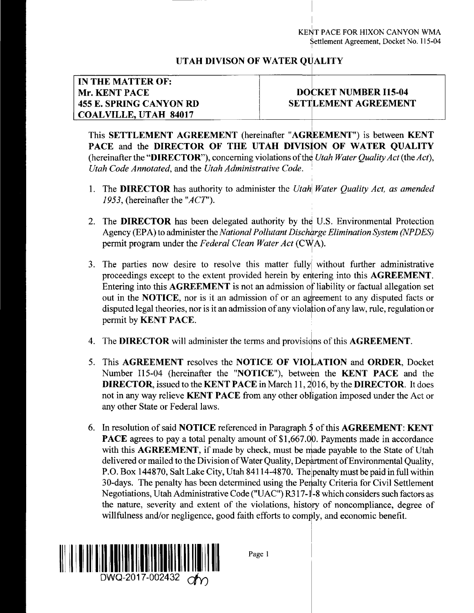## **UTAH DIVISON OF WATER Ql ALITY**

## **IN THE MATTER OF: Mr. KENT PACE 455 E. SPRING CANYON RD COALVILLE, UTAH 84017**

## **DO' CKET NUMBER 115-04 SETT LEMENT AGREEMENT**

This **SETTLEMENT AGREEMENT** (hereinafter **"AGREEMENT")** is between **KENT PACE** and the **DIRECTOR OF THE UTAH DIVISION OF WATER QUALITY** (hereinafter the **"DIRECTOR"),** concerning violations ofthe *Utah Water QualityAct* (the*Act), Utah Code Annotated,* and the *Utah Administrative Code.*

- **1**. The **DIRECTOR** has authority to administer the *Utah\ Water Quality Act, as amended 1953,* (hereinafter the *"ACT').*
- *2.* The **DIRECTOR** has been delegated authority by the U.S. Environmental Protection Agency (EPA) to administer the*NationalPollutantDischarge Elimination System (NPDES)* permit program under the *Federal Clean Water Act* (CWA).
- 3. The parties now desire to resolve this matter fully without further administrative proceedings except to the extent provided herein by entering into this **AGREEMENT.** Entering into this **AGREEMENT** is not an admission of liability or factual allegation set out in the **NOTICE,** nor is it an admission of or an agreement to any disputed facts or disputed legal theories, nor is it an admission of any violation of any law, rule, regulation or permit by **KENT PACE.**
- **4.** The **DIRECTOR** will administer the terms and provisions ofthis **AGREEMENT.**
- 5. This **AGREEMENT** resolves the **NOTICE OF VIOLATION** and **ORDER,** Docket Number 115-04 (hereinafter the **"NOTICE"),** between the **KENT PACE** and the **DIRECTOR,** issued to the **KENT PACE** in March **11,2joi6,** by the **DIRECTOR.** It does not in any way relieve **KENT PACE** from any other obligation imposed under the Act or any other State or Federal laws.
- **6.** In resolution of said **NOTICE** referenced in Paragraph 5 of this **AGREEMENT: KENT PACE** agrees to pay a total penalty amount of **\$1,667.00.** Payments made in accordance with this **AGREEMENT,** if made by check, must be made payable to the State of Utah delivered or mailed to the Division of Water Quality, Department of Environmental Quality, P.O. Box 144870, Salt Lake City, Utah 84114-4870. The penalty must be paid in full within 30-days. The penalty has been determined using the Penalty Criteria for Civil Settlement Negotiations, Utah Administrative Code ("UAC") R317-1-8 which considers such factors as the nature, severity and extent of the violations, history of noncompliance, degree of willfulness and/or negligence, good faith efforts to comply, and economic benefit.



**Page <sup>1</sup>**